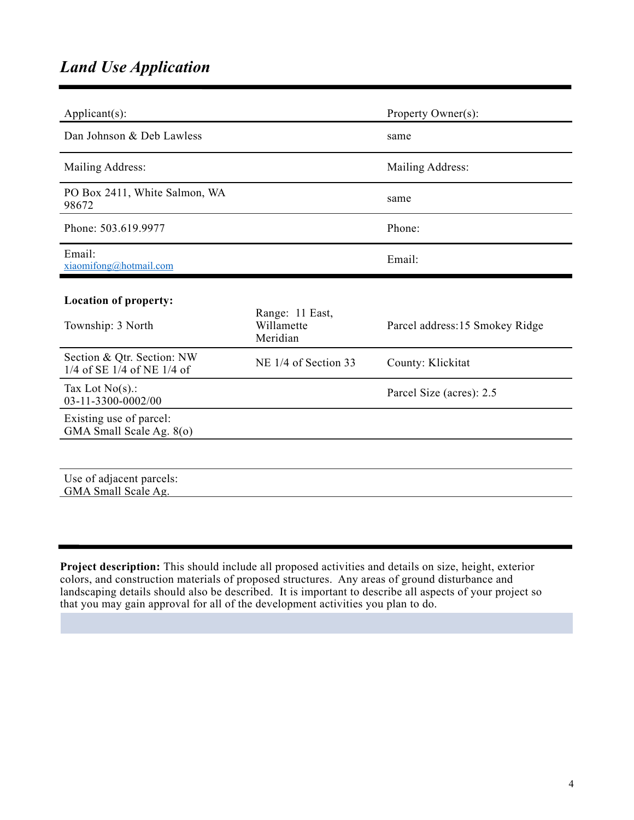## *Land Use Application*

| $Applicant(s)$ :                                               |                                           | Property Owner(s):             |
|----------------------------------------------------------------|-------------------------------------------|--------------------------------|
| Dan Johnson & Deb Lawless                                      |                                           | same                           |
| Mailing Address:                                               |                                           | Mailing Address:               |
| PO Box 2411, White Salmon, WA<br>98672                         |                                           | same                           |
| Phone: 503.619.9977                                            |                                           | Phone:                         |
| Email:<br>xiaomifong@hotmail.com                               |                                           | Email:                         |
| <b>Location of property:</b><br>Township: 3 North              | Range: 11 East,<br>Willamette<br>Meridian | Parcel address:15 Smokey Ridge |
| Section & Qtr. Section: NW<br>$1/4$ of SE $1/4$ of NE $1/4$ of | NE 1/4 of Section 33                      | County: Klickitat              |
| Tax Lot $No(s)$ .:<br>03-11-3300-0002/00                       |                                           | Parcel Size (acres): 2.5       |
| Existing use of parcel:<br>GMA Small Scale Ag. 8(0)            |                                           |                                |
|                                                                |                                           |                                |
| Use of adjacent parcels:<br>GMA Small Scale Ag.                |                                           |                                |

**Project description:** This should include all proposed activities and details on size, height, exterior colors, and construction materials of proposed structures. Any areas of ground disturbance and landscaping details should also be described. It is important to describe all aspects of your project so that you may gain approval for all of the development activities you plan to do.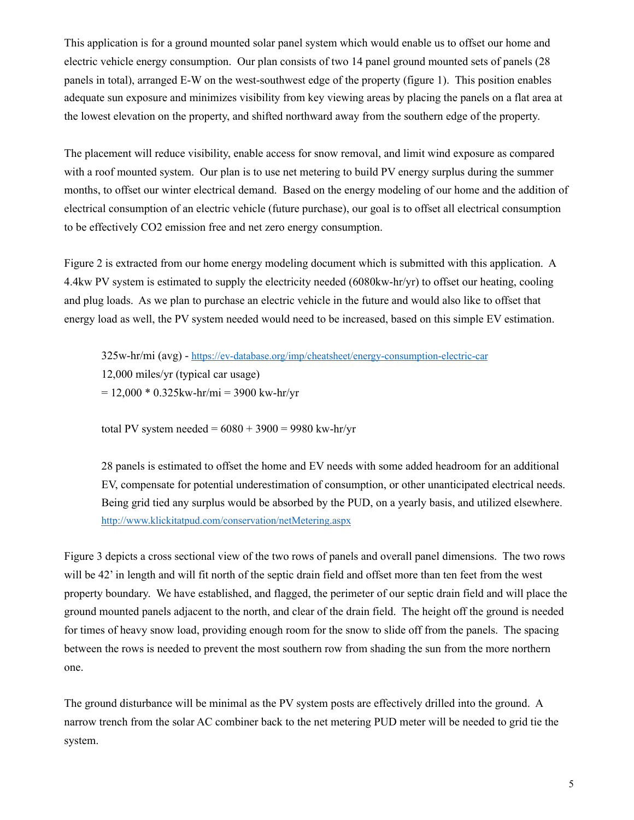This application is for a ground mounted solar panel system which would enable us to offset our home and electric vehicle energy consumption. Our plan consists of two 14 panel ground mounted sets of panels (28 panels in total), arranged E-W on the west-southwest edge of the property (figure 1). This position enables adequate sun exposure and minimizes visibility from key viewing areas by placing the panels on a flat area at the lowest elevation on the property, and shifted northward away from the southern edge of the property.

The placement will reduce visibility, enable access for snow removal, and limit wind exposure as compared with a roof mounted system. Our plan is to use net metering to build PV energy surplus during the summer months, to offset our winter electrical demand. Based on the energy modeling of our home and the addition of electrical consumption of an electric vehicle (future purchase), our goal is to offset all electrical consumption to be effectively CO2 emission free and net zero energy consumption.

Figure 2 is extracted from our home energy modeling document which is submitted with this application. A 4.4kw PV system is estimated to supply the electricity needed (6080kw-hr/yr) to offset our heating, cooling and plug loads. As we plan to purchase an electric vehicle in the future and would also like to offset that energy load as well, the PV system needed would need to be increased, based on this simple EV estimation.

325w-hr/mi (avg) -<https://ev-database.org/imp/cheatsheet/energy-consumption-electric-car> 12,000 miles/yr (typical car usage)  $= 12,000 * 0.325$ kw-hr/mi = 3900 kw-hr/yr

total PV system needed =  $6080 + 3900 = 9980$  kw-hr/yr

28 panels is estimated to offset the home and EV needs with some added headroom for an additional EV, compensate for potential underestimation of consumption, or other unanticipated electrical needs. Being grid tied any surplus would be absorbed by the PUD, on a yearly basis, and utilized elsewhere. <http://www.klickitatpud.com/conservation/netMetering.aspx>

Figure 3 depicts a cross sectional view of the two rows of panels and overall panel dimensions. The two rows will be 42' in length and will fit north of the septic drain field and offset more than ten feet from the west property boundary. We have established, and flagged, the perimeter of our septic drain field and will place the ground mounted panels adjacent to the north, and clear of the drain field. The height off the ground is needed for times of heavy snow load, providing enough room for the snow to slide off from the panels. The spacing between the rows is needed to prevent the most southern row from shading the sun from the more northern one.

The ground disturbance will be minimal as the PV system posts are effectively drilled into the ground. A narrow trench from the solar AC combiner back to the net metering PUD meter will be needed to grid tie the system.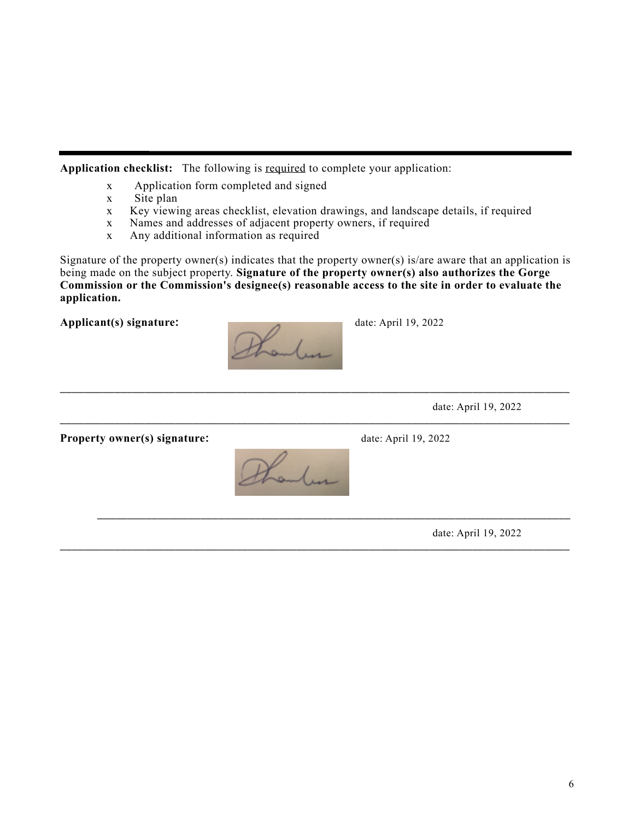**Application checklist:** The following is required to complete your application:

- x Application form completed and signed
- x Site plan
- x Key viewing areas checklist, elevation drawings, and landscape details, if required
- x Names and addresses of adjacent property owners, if required
- x Any additional information as required

Signature of the property owner(s) indicates that the property owner(s) is/are aware that an application is being made on the subject property. **Signature of the property owner(s) also authorizes the Gorge Commission or the Commission's designee(s) reasonable access to the site in order to evaluate the application.**

\_\_\_\_\_\_\_\_\_\_\_\_\_\_\_\_\_\_\_\_\_\_\_\_\_\_\_\_\_\_\_\_\_\_\_\_\_\_\_\_\_\_\_\_\_\_\_\_\_\_\_\_\_\_\_\_\_\_\_\_\_\_\_\_\_\_\_\_\_\_\_\_\_\_\_\_\_\_\_\_\_\_\_\_

\_\_\_\_\_\_\_\_\_\_\_\_\_\_\_\_\_\_\_\_\_\_\_\_\_\_\_\_\_\_\_\_\_\_\_\_\_\_\_\_\_\_\_\_\_\_\_\_\_\_\_\_\_\_\_\_\_\_\_\_\_\_\_\_\_\_\_\_\_\_\_\_\_\_\_\_\_\_\_\_\_\_\_\_

\_\_\_\_\_\_\_\_\_\_\_\_\_\_\_\_\_\_\_\_\_\_\_\_\_\_\_\_\_\_\_\_\_\_\_\_\_\_\_\_\_\_\_\_\_\_\_\_\_\_\_\_\_\_\_\_\_\_\_\_\_\_\_\_\_\_\_\_\_\_\_\_\_\_\_\_\_\_



\_\_\_\_\_\_\_\_\_\_\_\_\_\_\_\_\_\_\_\_\_\_\_\_\_\_\_\_\_\_\_\_\_\_\_\_\_\_\_\_\_\_\_\_\_\_\_\_\_\_\_\_\_\_\_\_\_\_\_\_\_\_\_\_\_\_\_\_\_\_\_\_\_\_\_\_\_\_\_\_\_\_\_\_ date: April 19, 2022

**Property owner(s) signature:** date: April 19, 2022



date: April 19, 2022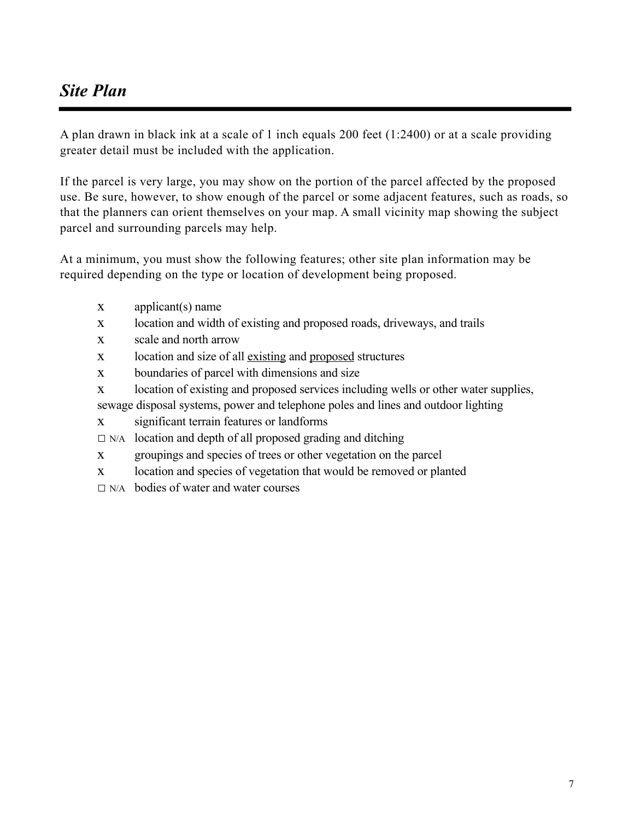# *Site Plan*

A plan drawn in black ink at a scale of 1 inch equals 200 feet (1:2400) or at a scale providing greater detail must be included with the application.

If the parcel is very large, you may show on the portion of the parcel affected by the proposed use. Be sure, however, to show enough of the parcel or some adjacent features, such as roads, so that the planners can orient themselves on your map. A small vicinity map showing the subject parcel and surrounding parcels may help.

At a minimum, you must show the following features; other site plan information may be required depending on the type or location of development being proposed.

- x applicant(s) name
- x location and width of existing and proposed roads, driveways, and trails
- x scale and north arrow
- x location and size of all existing and proposed structures
- x boundaries of parcel with dimensions and size
- x location of existing and proposed services including wells or other water supplies,
- sewage disposal systems, power and telephone poles and lines and outdoor lighting
- x significant terrain features or landforms
- $\square$  N/A location and depth of all proposed grading and ditching
- x groupings and species of trees or other vegetation on the parcel
- x location and species of vegetation that would be removed or planted
- $\nabla$  N/A bodies of water and water courses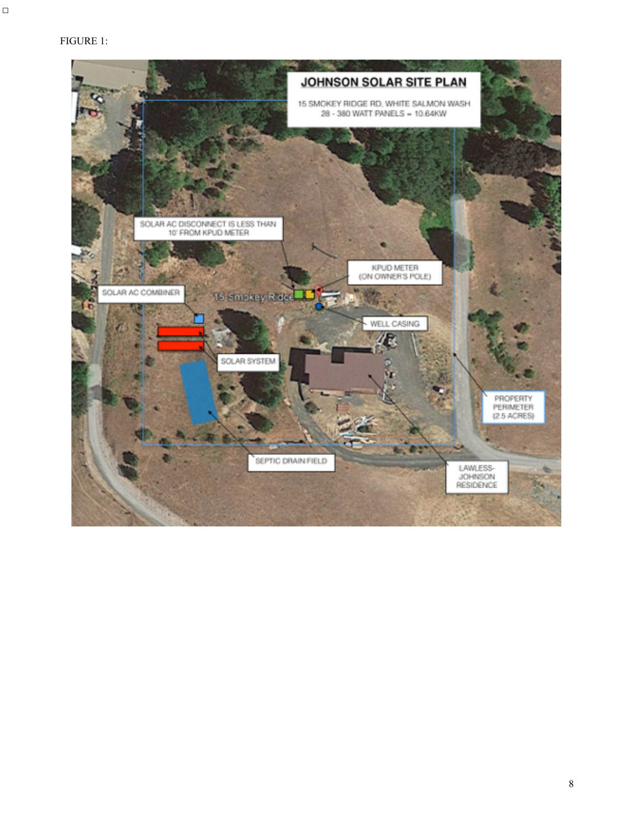#### FIGURE 1:

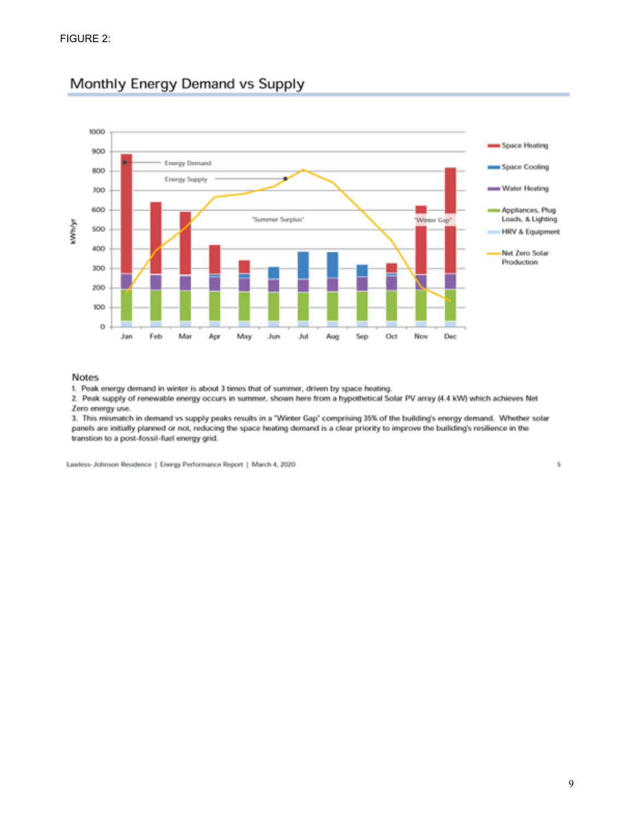

### Monthly Energy Demand vs Supply

#### **Notes**

1. Peak energy demand in winter is about 3 times that of summer, driven by space heating.

2. Peak supply of renewable energy occurs in summer, shown here from a hypothetical Solar PV array (4.4 kW) which achieves Net Zero energy use.

3. This mismatch in demand vs supply peaks results in a "Winter Gap" comprising 35% of the building's energy demand. Whether solar panels are initially planned or not, reducing the space heating demand is a clear priority to improve the builiding's resilience in the transtion to a post-fossil-fuel energy grid.

Lawless-Johnson Residence | Energy Performance Report | March 4, 2020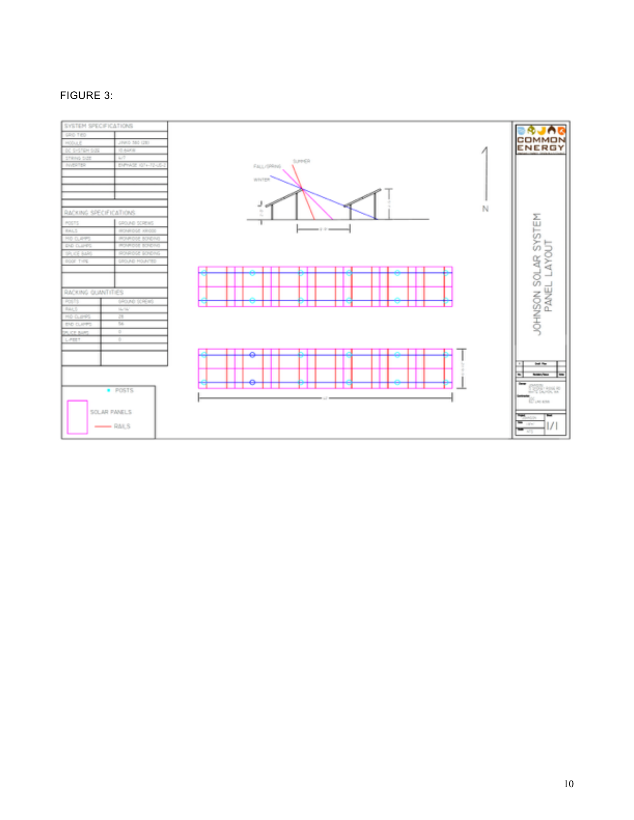### FIGURE 3:

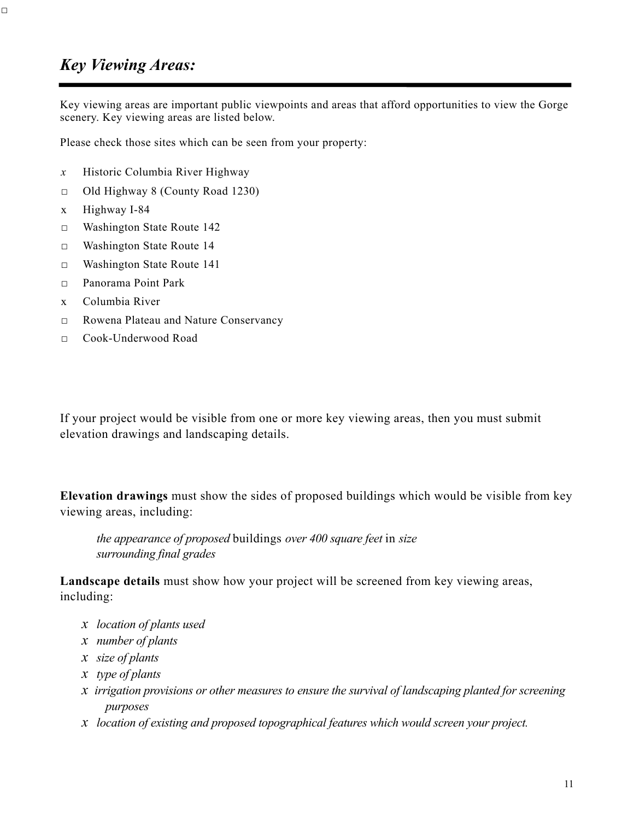## *Key Viewing Areas:*

□

Key viewing areas are important public viewpoints and areas that afford opportunities to view the Gorge scenery. Key viewing areas are listed below.

Please check those sites which can be seen from your property:

- *x* Historic Columbia River Highway
- □ Old Highway 8 (County Road 1230)
- x Highway I-84
- □ Washington State Route 142
- □ Washington State Route 14
- □ Washington State Route 141
- □ Panorama Point Park
- x Columbia River
- □ □ Rowena Plateau and Nature Conservancy
- □ Cook-Underwood Road

If your project would be visible from one or more key viewing areas, then you must submit elevation drawings and landscaping details.

**Elevation drawings** must show the sides of proposed buildings which would be visible from key viewing areas, including:

*the appearance of proposed* buildings *over 400 square feet* in *size surrounding final grades*

**Landscape details** must show how your project will be screened from key viewing areas, including:

- *x location of plants used*
- *x number of plants*
- *x size of plants*
- *x type of plants*
- *x irrigation provisions or other measures to ensure the survival of landscaping planted for screening purposes*
- *x location of existing and proposed topographical features which would screen your project.*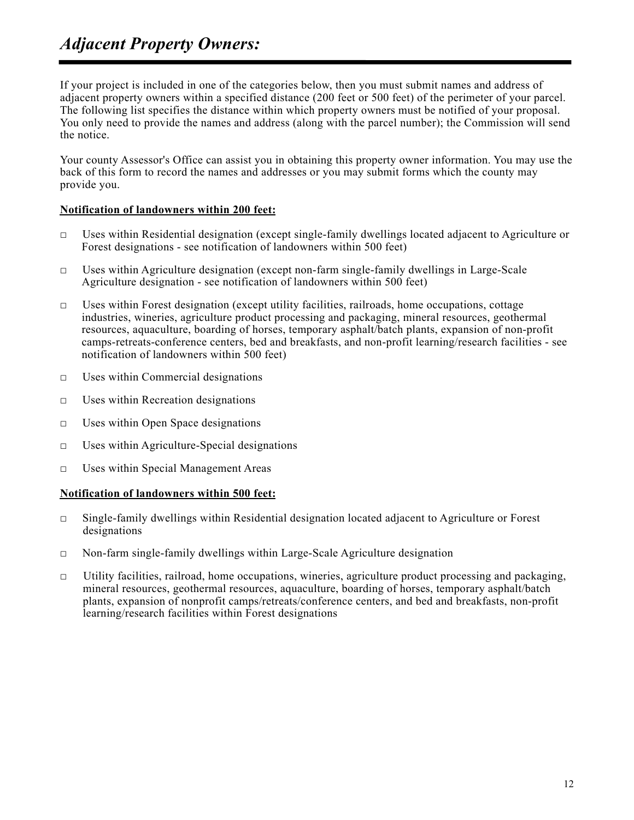# *Adjacent Property Owners:*

If your project is included in one of the categories below, then you must submit names and address of adjacent property owners within a specified distance (200 feet or 500 feet) of the perimeter of your parcel. The following list specifies the distance within which property owners must be notified of your proposal. You only need to provide the names and address (along with the parcel number); the Commission will send the notice.

Your county Assessor's Office can assist you in obtaining this property owner information. You may use the back of this form to record the names and addresses or you may submit forms which the county may provide you.

#### **Notification of landowners within 200 feet:**

- □ Uses within Residential designation (except single-family dwellings located adjacent to Agriculture or Forest designations - see notification of landowners within 500 feet)
- □ Uses within Agriculture designation (except non-farm single-family dwellings in Large-Scale Agriculture designation - see notification of landowners within 500 feet)
- □ Uses within Forest designation (except utility facilities, railroads, home occupations, cottage industries, wineries, agriculture product processing and packaging, mineral resources, geothermal resources, aquaculture, boarding of horses, temporary asphalt/batch plants, expansion of non-profit camps-retreats-conference centers, bed and breakfasts, and non-profit learning/research facilities - see notification of landowners within 500 feet)
- $\Box$  Uses within Commercial designations
- $\Box$  Uses within Recreation designations
- □ Uses within Open Space designations
- $\Box$  Uses within Agriculture-Special designations
- □ Uses within Special Management Areas

#### **Notification of landowners within 500 feet:**

- □ Single-family dwellings within Residential designation located adjacent to Agriculture or Forest designations
- $\Box$  Non-farm single-family dwellings within Large-Scale Agriculture designation
- $\Box$  Utility facilities, railroad, home occupations, wineries, agriculture product processing and packaging, mineral resources, geothermal resources, aquaculture, boarding of horses, temporary asphalt/batch plants, expansion of nonprofit camps/retreats/conference centers, and bed and breakfasts, non-profit learning/research facilities within Forest designations